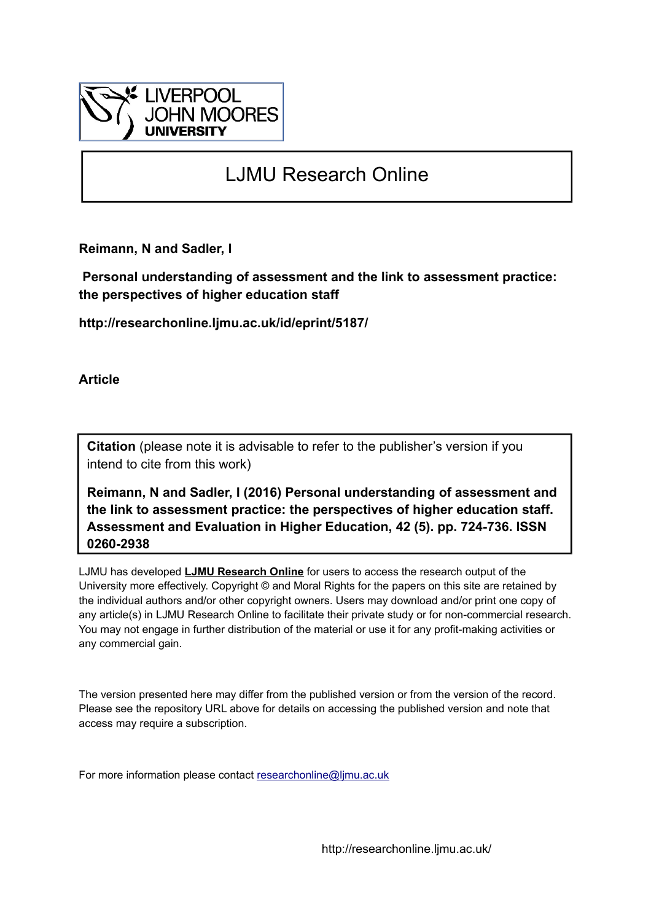

# LJMU Research Online

**Reimann, N and Sadler, I**

 **Personal understanding of assessment and the link to assessment practice: the perspectives of higher education staff**

**http://researchonline.ljmu.ac.uk/id/eprint/5187/**

**Article**

**Citation** (please note it is advisable to refer to the publisher's version if you intend to cite from this work)

**Reimann, N and Sadler, I (2016) Personal understanding of assessment and the link to assessment practice: the perspectives of higher education staff. Assessment and Evaluation in Higher Education, 42 (5). pp. 724-736. ISSN 0260-2938** 

LJMU has developed **[LJMU Research Online](http://researchonline.ljmu.ac.uk/)** for users to access the research output of the University more effectively. Copyright © and Moral Rights for the papers on this site are retained by the individual authors and/or other copyright owners. Users may download and/or print one copy of any article(s) in LJMU Research Online to facilitate their private study or for non-commercial research. You may not engage in further distribution of the material or use it for any profit-making activities or any commercial gain.

The version presented here may differ from the published version or from the version of the record. Please see the repository URL above for details on accessing the published version and note that access may require a subscription.

For more information please contact [researchonline@ljmu.ac.uk](mailto:researchonline@ljmu.ac.uk)

http://researchonline.ljmu.ac.uk/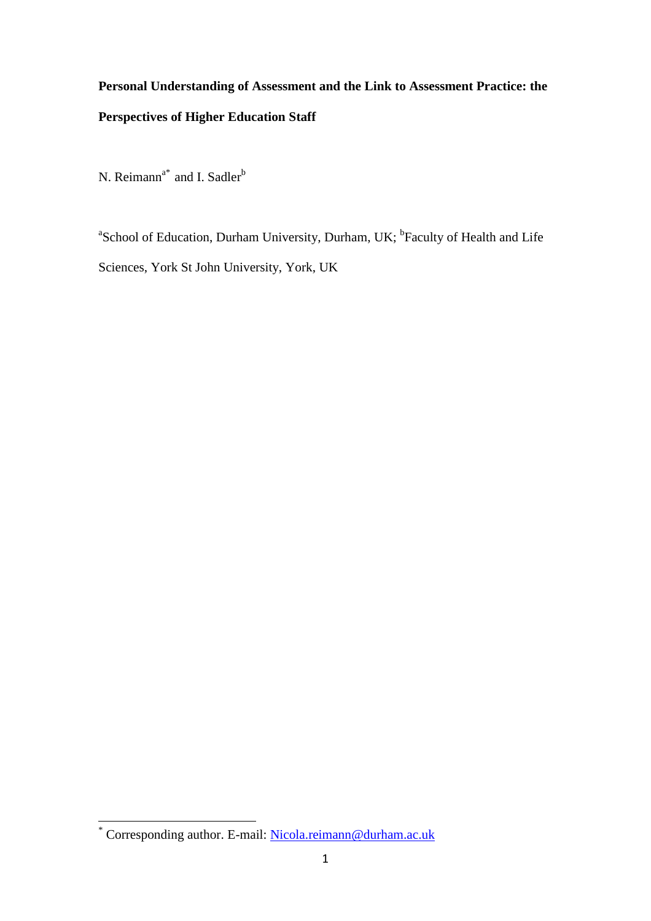# **Personal Understanding of Assessment and the Link to Assessment Practice: the Perspectives of Higher Education Staff**

N. Reimann<sup>a\*</sup> and I. Sadler<sup>b</sup>

<sup>a</sup>School of Education, Durham University, Durham, UK; <sup>b</sup>Faculty of Health and Life Sciences, York St John University, York, UK

<sup>\*</sup> Corresponding author. E-mail: [Nicola.reimann@durham.ac.uk](mailto:Nicola.reimann@durham.ac.uk)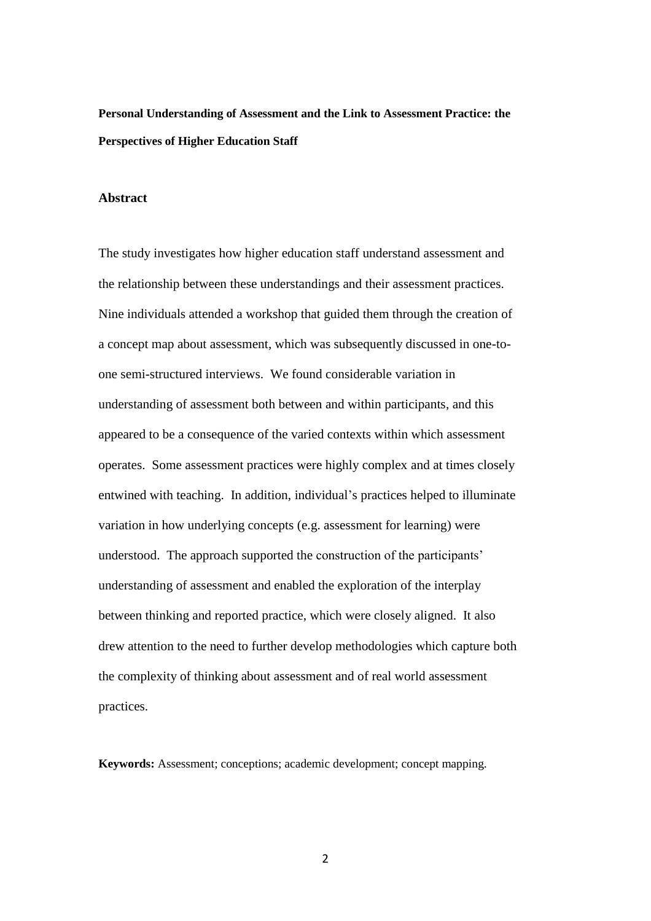**Personal Understanding of Assessment and the Link to Assessment Practice: the Perspectives of Higher Education Staff**

# **Abstract**

The study investigates how higher education staff understand assessment and the relationship between these understandings and their assessment practices. Nine individuals attended a workshop that guided them through the creation of a concept map about assessment, which was subsequently discussed in one-toone semi-structured interviews. We found considerable variation in understanding of assessment both between and within participants, and this appeared to be a consequence of the varied contexts within which assessment operates. Some assessment practices were highly complex and at times closely entwined with teaching. In addition, individual's practices helped to illuminate variation in how underlying concepts (e.g. assessment for learning) were understood. The approach supported the construction of the participants' understanding of assessment and enabled the exploration of the interplay between thinking and reported practice, which were closely aligned. It also drew attention to the need to further develop methodologies which capture both the complexity of thinking about assessment and of real world assessment practices.

**Keywords:** Assessment; conceptions; academic development; concept mapping.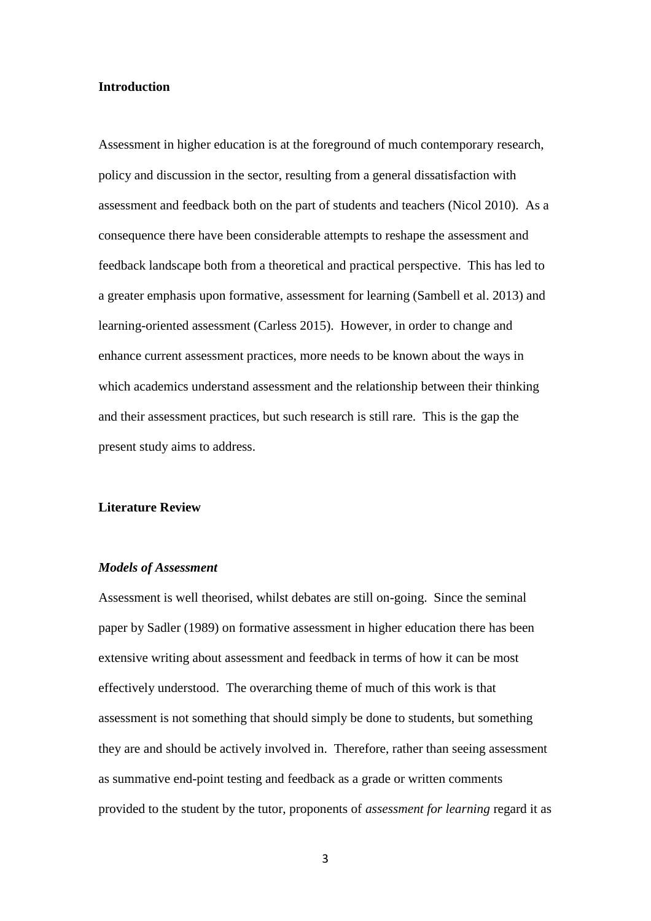#### **Introduction**

Assessment in higher education is at the foreground of much contemporary research, policy and discussion in the sector, resulting from a general dissatisfaction with assessment and feedback both on the part of students and teachers (Nicol 2010). As a consequence there have been considerable attempts to reshape the assessment and feedback landscape both from a theoretical and practical perspective. This has led to a greater emphasis upon formative, assessment for learning (Sambell et al. 2013) and learning-oriented assessment (Carless 2015). However, in order to change and enhance current assessment practices, more needs to be known about the ways in which academics understand assessment and the relationship between their thinking and their assessment practices, but such research is still rare. This is the gap the present study aims to address.

#### **Literature Review**

## *Models of Assessment*

Assessment is well theorised, whilst debates are still on-going. Since the seminal paper by Sadler (1989) on formative assessment in higher education there has been extensive writing about assessment and feedback in terms of how it can be most effectively understood. The overarching theme of much of this work is that assessment is not something that should simply be done to students, but something they are and should be actively involved in. Therefore, rather than seeing assessment as summative end-point testing and feedback as a grade or written comments provided to the student by the tutor, proponents of *assessment for learning* regard it as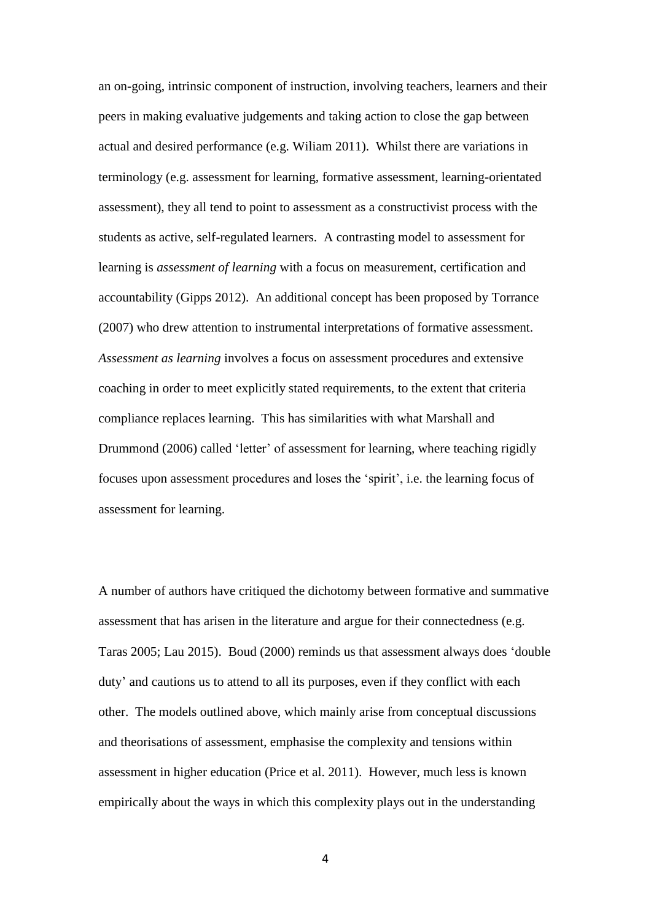an on-going, intrinsic component of instruction, involving teachers, learners and their peers in making evaluative judgements and taking action to close the gap between actual and desired performance (e.g. Wiliam 2011). Whilst there are variations in terminology (e.g. assessment for learning, formative assessment, learning-orientated assessment), they all tend to point to assessment as a constructivist process with the students as active, self-regulated learners. A contrasting model to assessment for learning is *assessment of learning* with a focus on measurement, certification and accountability (Gipps 2012). An additional concept has been proposed by Torrance (2007) who drew attention to instrumental interpretations of formative assessment. *Assessment as learning* involves a focus on assessment procedures and extensive coaching in order to meet explicitly stated requirements, to the extent that criteria compliance replaces learning. This has similarities with what Marshall and Drummond (2006) called 'letter' of assessment for learning, where teaching rigidly focuses upon assessment procedures and loses the 'spirit', i.e. the learning focus of assessment for learning.

A number of authors have critiqued the dichotomy between formative and summative assessment that has arisen in the literature and argue for their connectedness (e.g. Taras 2005; Lau 2015). Boud (2000) reminds us that assessment always does 'double duty' and cautions us to attend to all its purposes, even if they conflict with each other. The models outlined above, which mainly arise from conceptual discussions and theorisations of assessment, emphasise the complexity and tensions within assessment in higher education (Price et al. 2011). However, much less is known empirically about the ways in which this complexity plays out in the understanding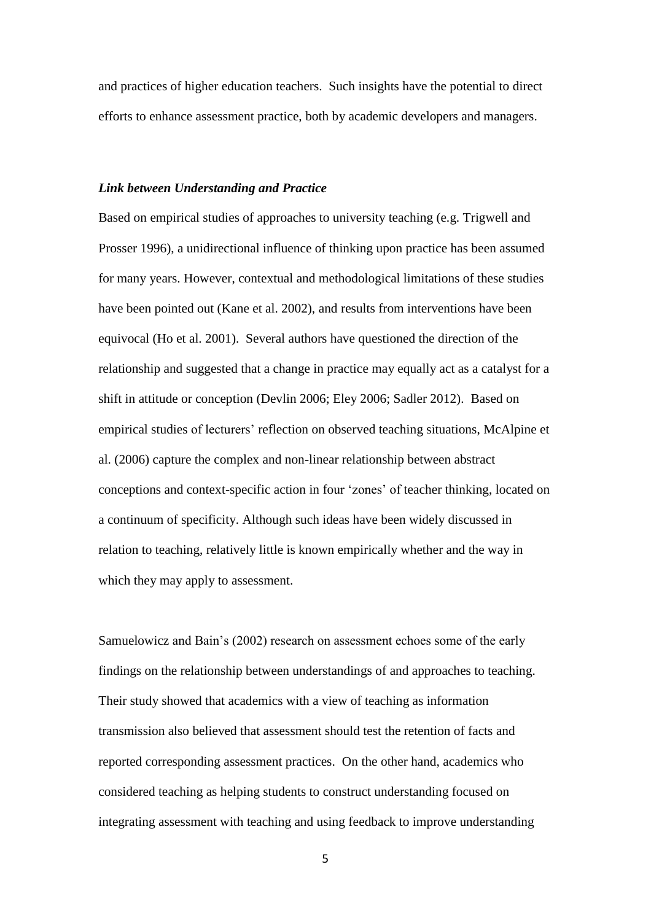and practices of higher education teachers. Such insights have the potential to direct efforts to enhance assessment practice, both by academic developers and managers.

#### *Link between Understanding and Practice*

Based on empirical studies of approaches to university teaching (e.g. Trigwell and Prosser 1996), a unidirectional influence of thinking upon practice has been assumed for many years. However, contextual and methodological limitations of these studies have been pointed out (Kane et al. 2002), and results from interventions have been equivocal (Ho et al. 2001). Several authors have questioned the direction of the relationship and suggested that a change in practice may equally act as a catalyst for a shift in attitude or conception (Devlin 2006; Eley 2006; Sadler 2012). Based on empirical studies of lecturers' reflection on observed teaching situations, McAlpine et al. (2006) capture the complex and non-linear relationship between abstract conceptions and context-specific action in four 'zones' of teacher thinking, located on a continuum of specificity. Although such ideas have been widely discussed in relation to teaching, relatively little is known empirically whether and the way in which they may apply to assessment.

Samuelowicz and Bain's (2002) research on assessment echoes some of the early findings on the relationship between understandings of and approaches to teaching. Their study showed that academics with a view of teaching as information transmission also believed that assessment should test the retention of facts and reported corresponding assessment practices. On the other hand, academics who considered teaching as helping students to construct understanding focused on integrating assessment with teaching and using feedback to improve understanding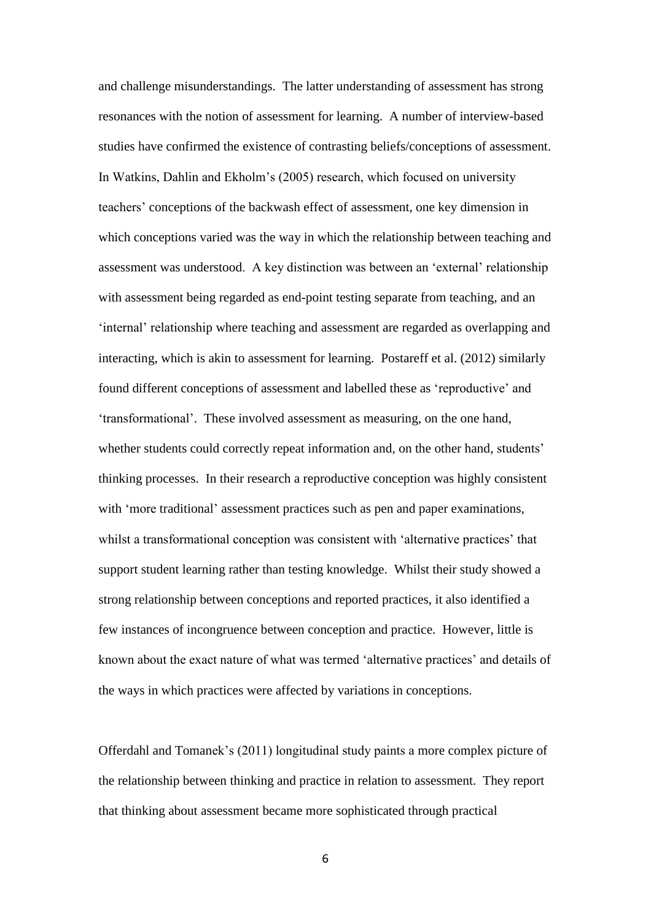and challenge misunderstandings. The latter understanding of assessment has strong resonances with the notion of assessment for learning. A number of interview-based studies have confirmed the existence of contrasting beliefs/conceptions of assessment. In Watkins, Dahlin and Ekholm's (2005) research, which focused on university teachers' conceptions of the backwash effect of assessment, one key dimension in which conceptions varied was the way in which the relationship between teaching and assessment was understood. A key distinction was between an 'external' relationship with assessment being regarded as end-point testing separate from teaching, and an 'internal' relationship where teaching and assessment are regarded as overlapping and interacting, which is akin to assessment for learning. Postareff et al. (2012) similarly found different conceptions of assessment and labelled these as 'reproductive' and 'transformational'. These involved assessment as measuring, on the one hand, whether students could correctly repeat information and, on the other hand, students' thinking processes. In their research a reproductive conception was highly consistent with 'more traditional' assessment practices such as pen and paper examinations, whilst a transformational conception was consistent with 'alternative practices' that support student learning rather than testing knowledge. Whilst their study showed a strong relationship between conceptions and reported practices, it also identified a few instances of incongruence between conception and practice. However, little is known about the exact nature of what was termed 'alternative practices' and details of the ways in which practices were affected by variations in conceptions.

Offerdahl and Tomanek's (2011) longitudinal study paints a more complex picture of the relationship between thinking and practice in relation to assessment. They report that thinking about assessment became more sophisticated through practical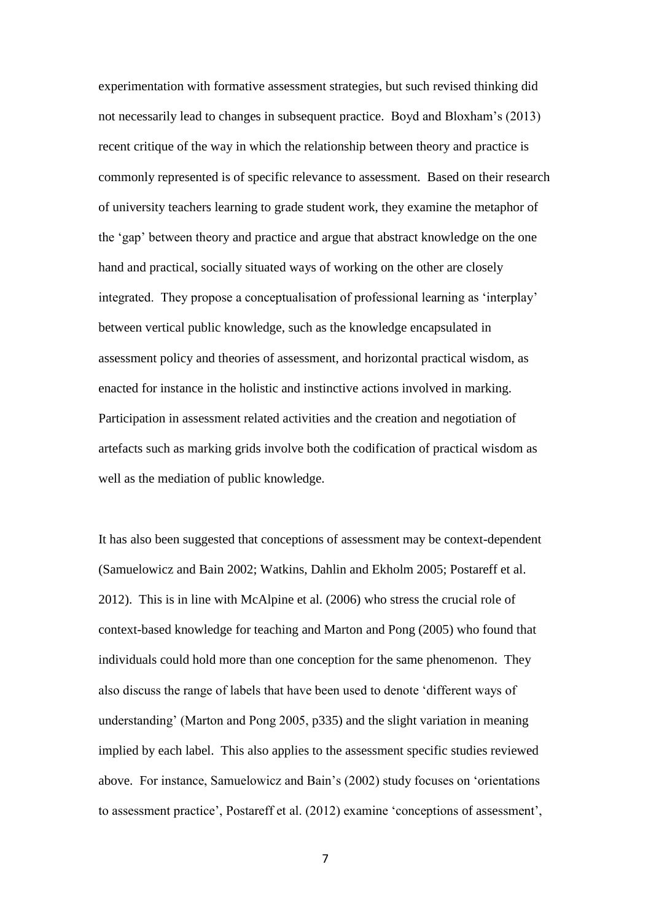experimentation with formative assessment strategies, but such revised thinking did not necessarily lead to changes in subsequent practice. Boyd and Bloxham's (2013) recent critique of the way in which the relationship between theory and practice is commonly represented is of specific relevance to assessment. Based on their research of university teachers learning to grade student work, they examine the metaphor of the 'gap' between theory and practice and argue that abstract knowledge on the one hand and practical, socially situated ways of working on the other are closely integrated. They propose a conceptualisation of professional learning as 'interplay' between vertical public knowledge, such as the knowledge encapsulated in assessment policy and theories of assessment, and horizontal practical wisdom, as enacted for instance in the holistic and instinctive actions involved in marking. Participation in assessment related activities and the creation and negotiation of artefacts such as marking grids involve both the codification of practical wisdom as well as the mediation of public knowledge.

It has also been suggested that conceptions of assessment may be context-dependent (Samuelowicz and Bain 2002; Watkins, Dahlin and Ekholm 2005; Postareff et al. 2012). This is in line with McAlpine et al. (2006) who stress the crucial role of context-based knowledge for teaching and Marton and Pong (2005) who found that individuals could hold more than one conception for the same phenomenon. They also discuss the range of labels that have been used to denote 'different ways of understanding' (Marton and Pong 2005, p335) and the slight variation in meaning implied by each label. This also applies to the assessment specific studies reviewed above. For instance, Samuelowicz and Bain's (2002) study focuses on 'orientations to assessment practice', Postareff et al. (2012) examine 'conceptions of assessment',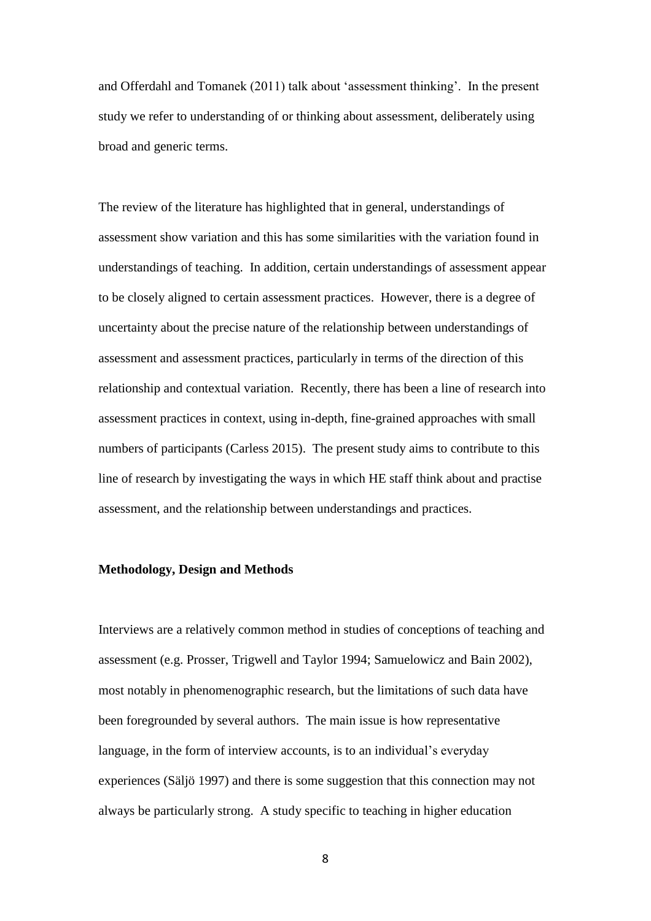and Offerdahl and Tomanek (2011) talk about 'assessment thinking'. In the present study we refer to understanding of or thinking about assessment, deliberately using broad and generic terms.

The review of the literature has highlighted that in general, understandings of assessment show variation and this has some similarities with the variation found in understandings of teaching. In addition, certain understandings of assessment appear to be closely aligned to certain assessment practices. However, there is a degree of uncertainty about the precise nature of the relationship between understandings of assessment and assessment practices, particularly in terms of the direction of this relationship and contextual variation. Recently, there has been a line of research into assessment practices in context, using in-depth, fine-grained approaches with small numbers of participants (Carless 2015). The present study aims to contribute to this line of research by investigating the ways in which HE staff think about and practise assessment, and the relationship between understandings and practices.

# **Methodology, Design and Methods**

Interviews are a relatively common method in studies of conceptions of teaching and assessment (e.g. Prosser, Trigwell and Taylor 1994; Samuelowicz and Bain 2002), most notably in phenomenographic research, but the limitations of such data have been foregrounded by several authors. The main issue is how representative language, in the form of interview accounts, is to an individual's everyday experiences (Säljö 1997) and there is some suggestion that this connection may not always be particularly strong. A study specific to teaching in higher education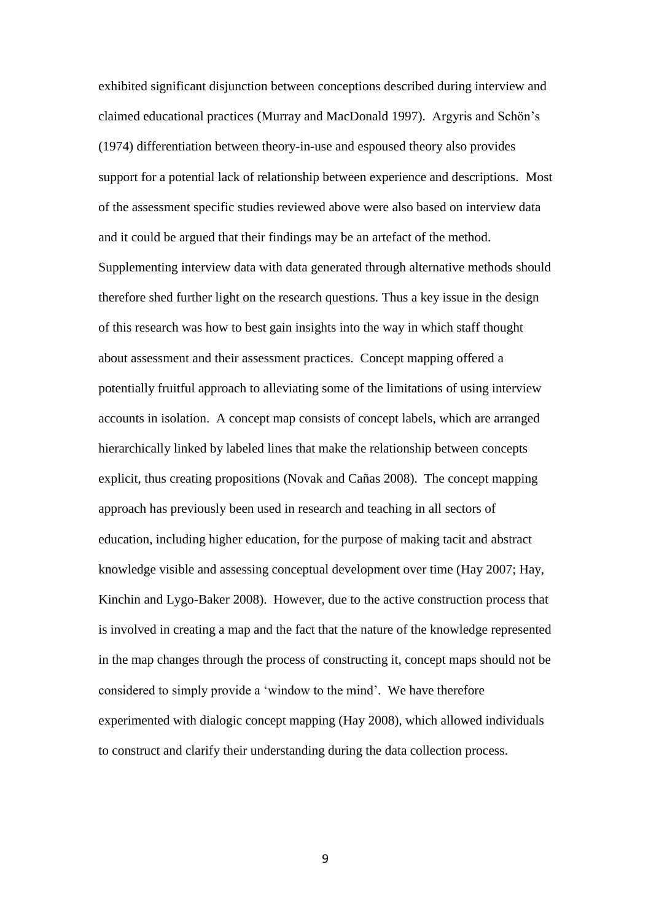exhibited significant disjunction between conceptions described during interview and claimed educational practices (Murray and MacDonald 1997). Argyris and Schön's (1974) differentiation between theory-in-use and espoused theory also provides support for a potential lack of relationship between experience and descriptions. Most of the assessment specific studies reviewed above were also based on interview data and it could be argued that their findings may be an artefact of the method. Supplementing interview data with data generated through alternative methods should therefore shed further light on the research questions. Thus a key issue in the design of this research was how to best gain insights into the way in which staff thought about assessment and their assessment practices. Concept mapping offered a potentially fruitful approach to alleviating some of the limitations of using interview accounts in isolation. A concept map consists of concept labels, which are arranged hierarchically linked by labeled lines that make the relationship between concepts explicit, thus creating propositions (Novak and Cañas 2008). The concept mapping approach has previously been used in research and teaching in all sectors of education, including higher education, for the purpose of making tacit and abstract knowledge visible and assessing conceptual development over time (Hay 2007; Hay, Kinchin and Lygo-Baker 2008). However, due to the active construction process that is involved in creating a map and the fact that the nature of the knowledge represented in the map changes through the process of constructing it, concept maps should not be considered to simply provide a 'window to the mind'. We have therefore experimented with dialogic concept mapping (Hay 2008), which allowed individuals to construct and clarify their understanding during the data collection process.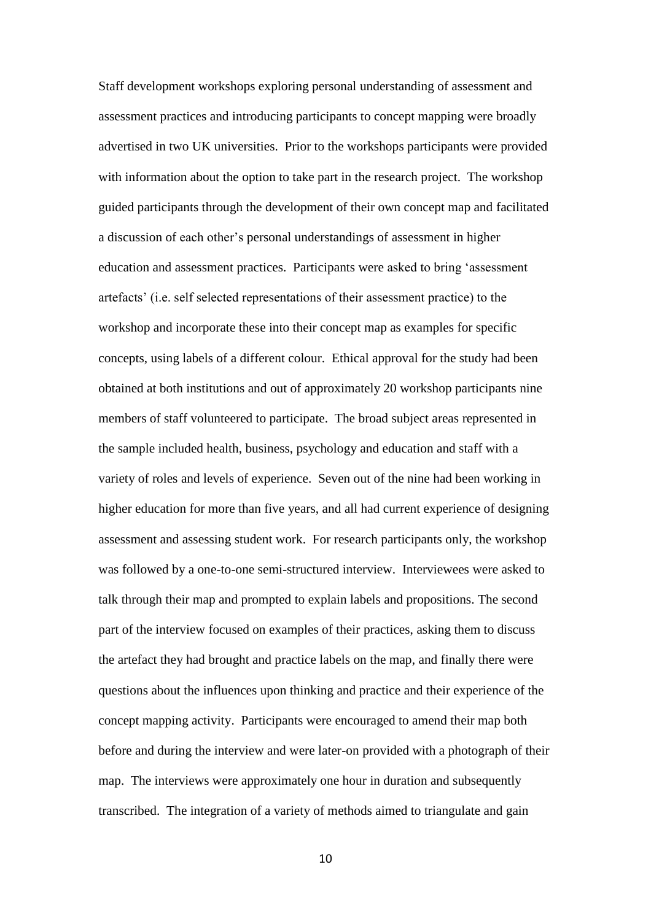Staff development workshops exploring personal understanding of assessment and assessment practices and introducing participants to concept mapping were broadly advertised in two UK universities. Prior to the workshops participants were provided with information about the option to take part in the research project. The workshop guided participants through the development of their own concept map and facilitated a discussion of each other's personal understandings of assessment in higher education and assessment practices. Participants were asked to bring 'assessment artefacts' (i.e. self selected representations of their assessment practice) to the workshop and incorporate these into their concept map as examples for specific concepts, using labels of a different colour. Ethical approval for the study had been obtained at both institutions and out of approximately 20 workshop participants nine members of staff volunteered to participate. The broad subject areas represented in the sample included health, business, psychology and education and staff with a variety of roles and levels of experience. Seven out of the nine had been working in higher education for more than five years, and all had current experience of designing assessment and assessing student work. For research participants only, the workshop was followed by a one-to-one semi-structured interview. Interviewees were asked to talk through their map and prompted to explain labels and propositions. The second part of the interview focused on examples of their practices, asking them to discuss the artefact they had brought and practice labels on the map, and finally there were questions about the influences upon thinking and practice and their experience of the concept mapping activity. Participants were encouraged to amend their map both before and during the interview and were later-on provided with a photograph of their map. The interviews were approximately one hour in duration and subsequently transcribed. The integration of a variety of methods aimed to triangulate and gain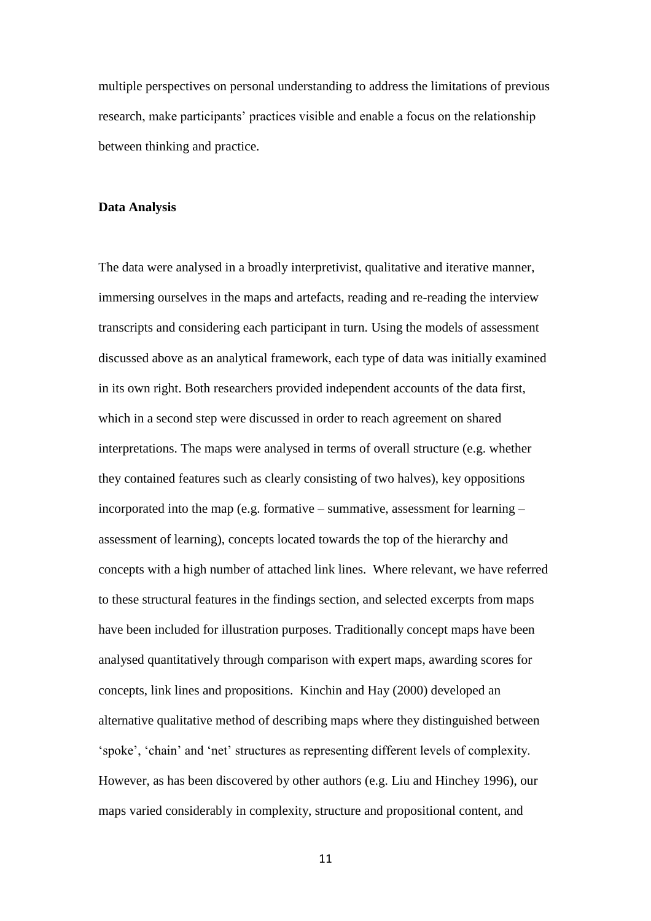multiple perspectives on personal understanding to address the limitations of previous research, make participants' practices visible and enable a focus on the relationship between thinking and practice.

#### **Data Analysis**

The data were analysed in a broadly interpretivist, qualitative and iterative manner, immersing ourselves in the maps and artefacts, reading and re-reading the interview transcripts and considering each participant in turn. Using the models of assessment discussed above as an analytical framework, each type of data was initially examined in its own right. Both researchers provided independent accounts of the data first, which in a second step were discussed in order to reach agreement on shared interpretations. The maps were analysed in terms of overall structure (e.g. whether they contained features such as clearly consisting of two halves), key oppositions incorporated into the map (e.g. formative – summative, assessment for learning – assessment of learning), concepts located towards the top of the hierarchy and concepts with a high number of attached link lines. Where relevant, we have referred to these structural features in the findings section, and selected excerpts from maps have been included for illustration purposes. Traditionally concept maps have been analysed quantitatively through comparison with expert maps, awarding scores for concepts, link lines and propositions. Kinchin and Hay (2000) developed an alternative qualitative method of describing maps where they distinguished between 'spoke', 'chain' and 'net' structures as representing different levels of complexity. However, as has been discovered by other authors (e.g. Liu and Hinchey 1996), our maps varied considerably in complexity, structure and propositional content, and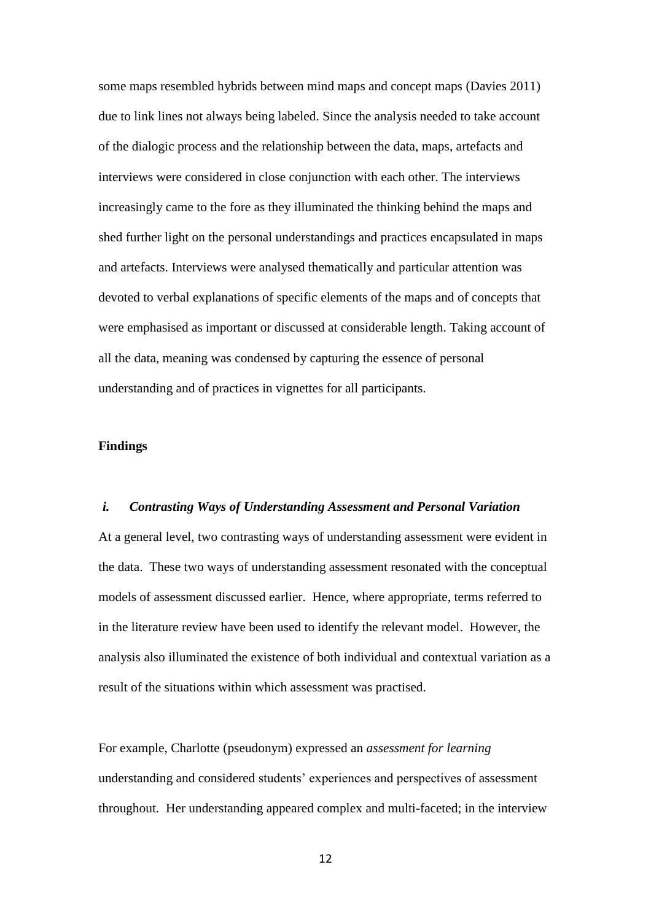some maps resembled hybrids between mind maps and concept maps (Davies 2011) due to link lines not always being labeled. Since the analysis needed to take account of the dialogic process and the relationship between the data, maps, artefacts and interviews were considered in close conjunction with each other. The interviews increasingly came to the fore as they illuminated the thinking behind the maps and shed further light on the personal understandings and practices encapsulated in maps and artefacts. Interviews were analysed thematically and particular attention was devoted to verbal explanations of specific elements of the maps and of concepts that were emphasised as important or discussed at considerable length. Taking account of all the data, meaning was condensed by capturing the essence of personal understanding and of practices in vignettes for all participants.

# **Findings**

#### *i. Contrasting Ways of Understanding Assessment and Personal Variation*

At a general level, two contrasting ways of understanding assessment were evident in the data. These two ways of understanding assessment resonated with the conceptual models of assessment discussed earlier. Hence, where appropriate, terms referred to in the literature review have been used to identify the relevant model. However, the analysis also illuminated the existence of both individual and contextual variation as a result of the situations within which assessment was practised.

For example, Charlotte (pseudonym) expressed an *assessment for learning* understanding and considered students' experiences and perspectives of assessment throughout. Her understanding appeared complex and multi-faceted; in the interview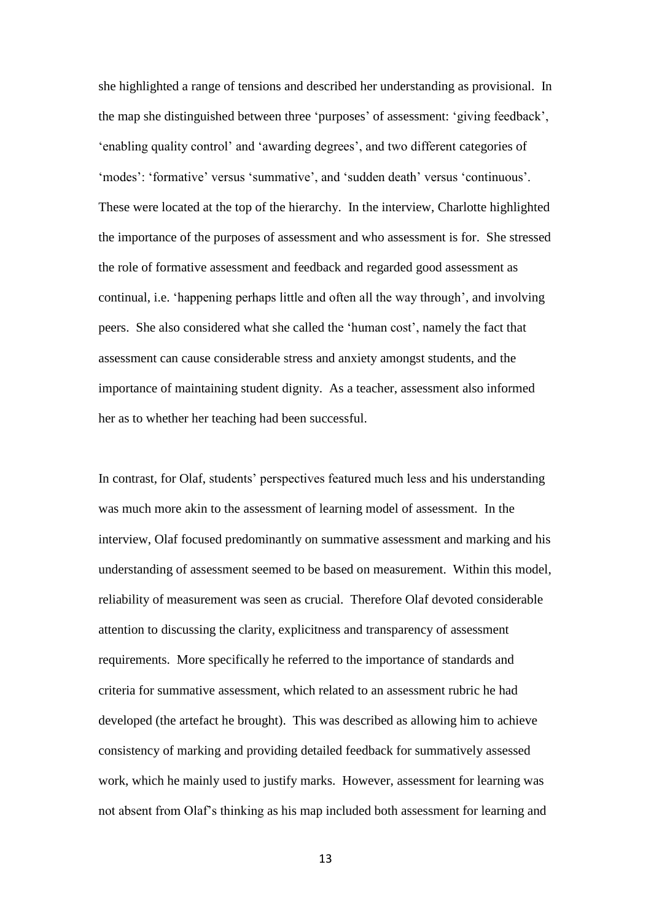she highlighted a range of tensions and described her understanding as provisional. In the map she distinguished between three 'purposes' of assessment: 'giving feedback', 'enabling quality control' and 'awarding degrees', and two different categories of 'modes': 'formative' versus 'summative', and 'sudden death' versus 'continuous'. These were located at the top of the hierarchy. In the interview, Charlotte highlighted the importance of the purposes of assessment and who assessment is for. She stressed the role of formative assessment and feedback and regarded good assessment as continual, i.e. 'happening perhaps little and often all the way through', and involving peers. She also considered what she called the 'human cost', namely the fact that assessment can cause considerable stress and anxiety amongst students, and the importance of maintaining student dignity. As a teacher, assessment also informed her as to whether her teaching had been successful.

In contrast, for Olaf, students' perspectives featured much less and his understanding was much more akin to the assessment of learning model of assessment. In the interview, Olaf focused predominantly on summative assessment and marking and his understanding of assessment seemed to be based on measurement. Within this model, reliability of measurement was seen as crucial. Therefore Olaf devoted considerable attention to discussing the clarity, explicitness and transparency of assessment requirements. More specifically he referred to the importance of standards and criteria for summative assessment, which related to an assessment rubric he had developed (the artefact he brought). This was described as allowing him to achieve consistency of marking and providing detailed feedback for summatively assessed work, which he mainly used to justify marks. However, assessment for learning was not absent from Olaf's thinking as his map included both assessment for learning and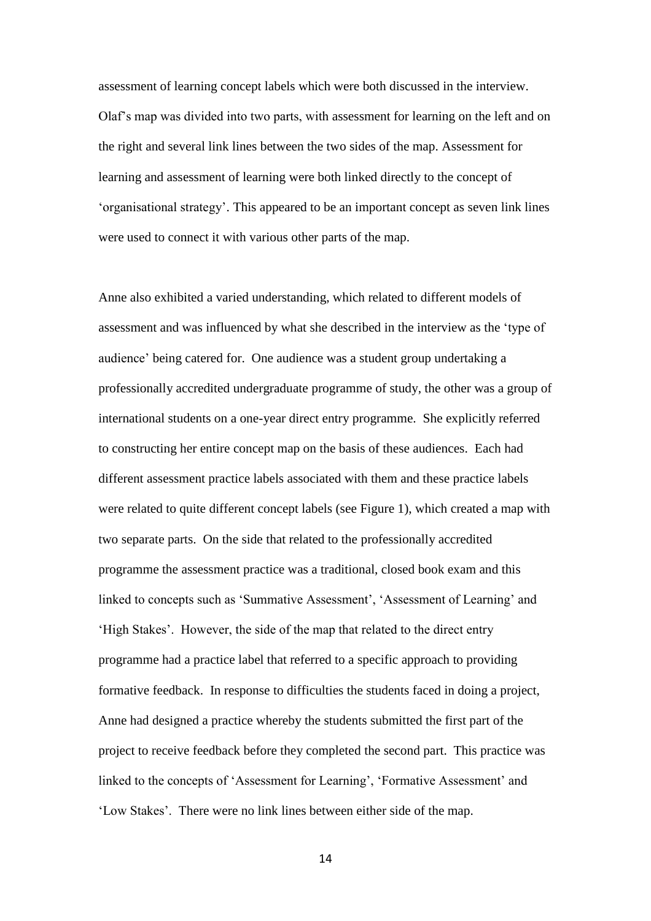assessment of learning concept labels which were both discussed in the interview. Olaf's map was divided into two parts, with assessment for learning on the left and on the right and several link lines between the two sides of the map. Assessment for learning and assessment of learning were both linked directly to the concept of 'organisational strategy'. This appeared to be an important concept as seven link lines were used to connect it with various other parts of the map.

Anne also exhibited a varied understanding, which related to different models of assessment and was influenced by what she described in the interview as the 'type of audience' being catered for. One audience was a student group undertaking a professionally accredited undergraduate programme of study, the other was a group of international students on a one-year direct entry programme. She explicitly referred to constructing her entire concept map on the basis of these audiences. Each had different assessment practice labels associated with them and these practice labels were related to quite different concept labels (see Figure 1), which created a map with two separate parts. On the side that related to the professionally accredited programme the assessment practice was a traditional, closed book exam and this linked to concepts such as 'Summative Assessment', 'Assessment of Learning' and 'High Stakes'. However, the side of the map that related to the direct entry programme had a practice label that referred to a specific approach to providing formative feedback. In response to difficulties the students faced in doing a project, Anne had designed a practice whereby the students submitted the first part of the project to receive feedback before they completed the second part. This practice was linked to the concepts of 'Assessment for Learning', 'Formative Assessment' and 'Low Stakes'. There were no link lines between either side of the map.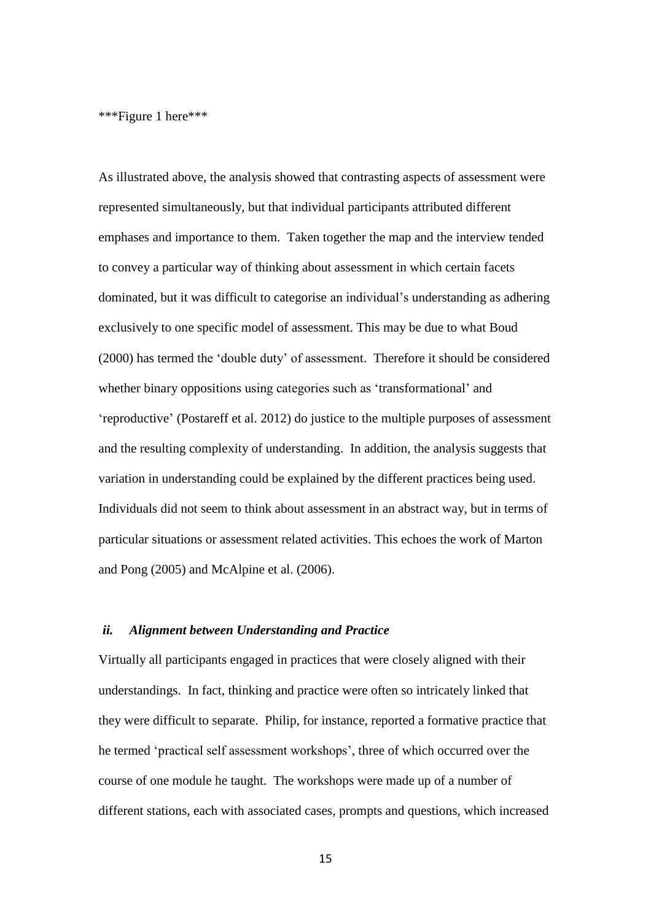\*\*\*Figure 1 here\*\*\*

As illustrated above, the analysis showed that contrasting aspects of assessment were represented simultaneously, but that individual participants attributed different emphases and importance to them. Taken together the map and the interview tended to convey a particular way of thinking about assessment in which certain facets dominated, but it was difficult to categorise an individual's understanding as adhering exclusively to one specific model of assessment. This may be due to what Boud (2000) has termed the 'double duty' of assessment. Therefore it should be considered whether binary oppositions using categories such as 'transformational' and 'reproductive' (Postareff et al. 2012) do justice to the multiple purposes of assessment and the resulting complexity of understanding. In addition, the analysis suggests that variation in understanding could be explained by the different practices being used. Individuals did not seem to think about assessment in an abstract way, but in terms of particular situations or assessment related activities. This echoes the work of Marton and Pong (2005) and McAlpine et al. (2006).

# *ii. Alignment between Understanding and Practice*

Virtually all participants engaged in practices that were closely aligned with their understandings. In fact, thinking and practice were often so intricately linked that they were difficult to separate. Philip, for instance, reported a formative practice that he termed 'practical self assessment workshops', three of which occurred over the course of one module he taught. The workshops were made up of a number of different stations, each with associated cases, prompts and questions, which increased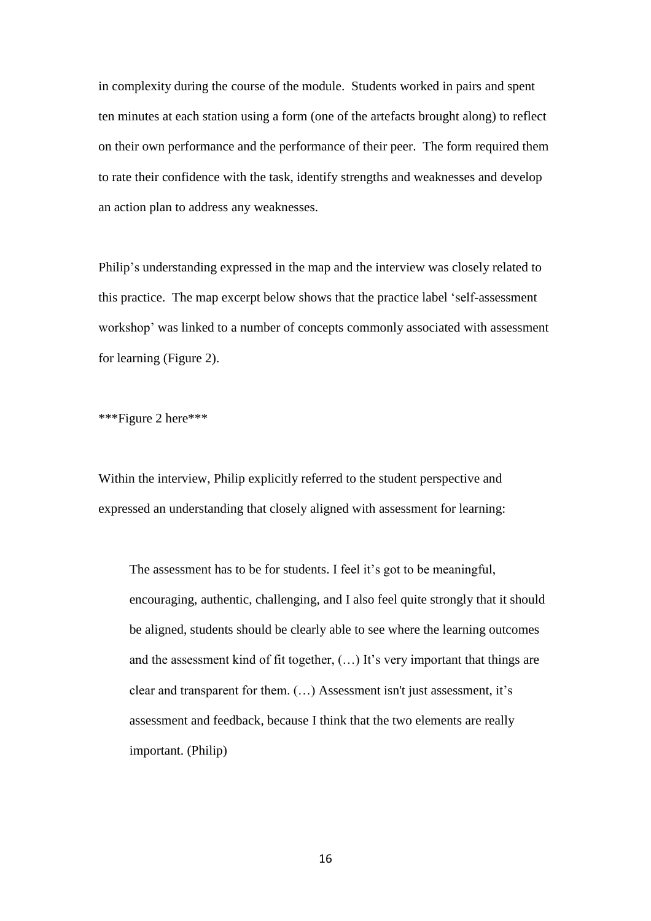in complexity during the course of the module. Students worked in pairs and spent ten minutes at each station using a form (one of the artefacts brought along) to reflect on their own performance and the performance of their peer. The form required them to rate their confidence with the task, identify strengths and weaknesses and develop an action plan to address any weaknesses.

Philip's understanding expressed in the map and the interview was closely related to this practice. The map excerpt below shows that the practice label 'self-assessment workshop' was linked to a number of concepts commonly associated with assessment for learning (Figure 2).

\*\*\*Figure 2 here\*\*\*

Within the interview, Philip explicitly referred to the student perspective and expressed an understanding that closely aligned with assessment for learning:

The assessment has to be for students. I feel it's got to be meaningful, encouraging, authentic, challenging, and I also feel quite strongly that it should be aligned, students should be clearly able to see where the learning outcomes and the assessment kind of fit together, (…) It's very important that things are clear and transparent for them. (…) Assessment isn't just assessment, it's assessment and feedback, because I think that the two elements are really important. (Philip)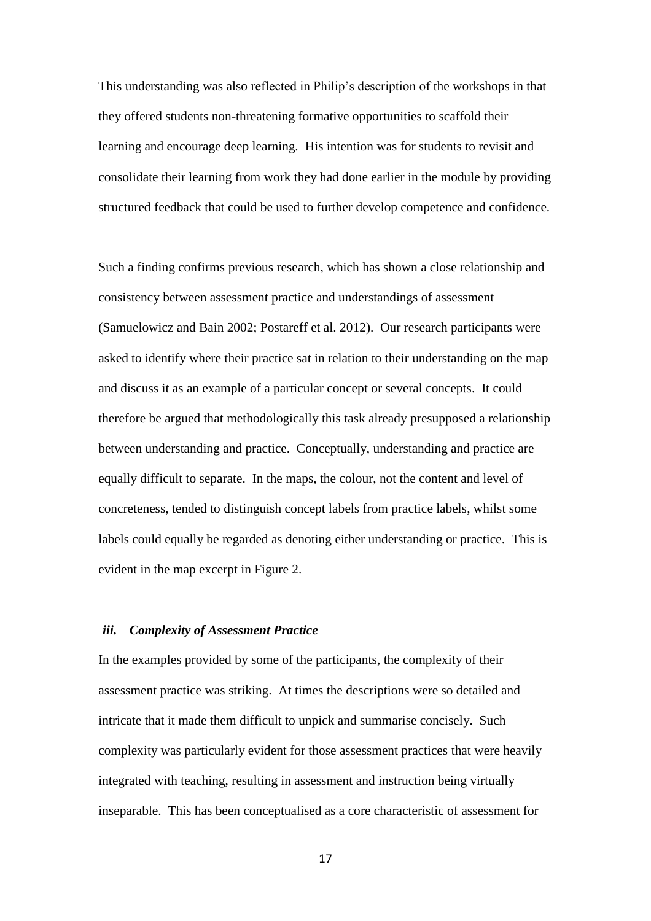This understanding was also reflected in Philip's description of the workshops in that they offered students non-threatening formative opportunities to scaffold their learning and encourage deep learning. His intention was for students to revisit and consolidate their learning from work they had done earlier in the module by providing structured feedback that could be used to further develop competence and confidence.

Such a finding confirms previous research, which has shown a close relationship and consistency between assessment practice and understandings of assessment (Samuelowicz and Bain 2002; Postareff et al. 2012). Our research participants were asked to identify where their practice sat in relation to their understanding on the map and discuss it as an example of a particular concept or several concepts. It could therefore be argued that methodologically this task already presupposed a relationship between understanding and practice. Conceptually, understanding and practice are equally difficult to separate. In the maps, the colour, not the content and level of concreteness, tended to distinguish concept labels from practice labels, whilst some labels could equally be regarded as denoting either understanding or practice. This is evident in the map excerpt in Figure 2.

# *iii. Complexity of Assessment Practice*

In the examples provided by some of the participants, the complexity of their assessment practice was striking. At times the descriptions were so detailed and intricate that it made them difficult to unpick and summarise concisely. Such complexity was particularly evident for those assessment practices that were heavily integrated with teaching, resulting in assessment and instruction being virtually inseparable. This has been conceptualised as a core characteristic of assessment for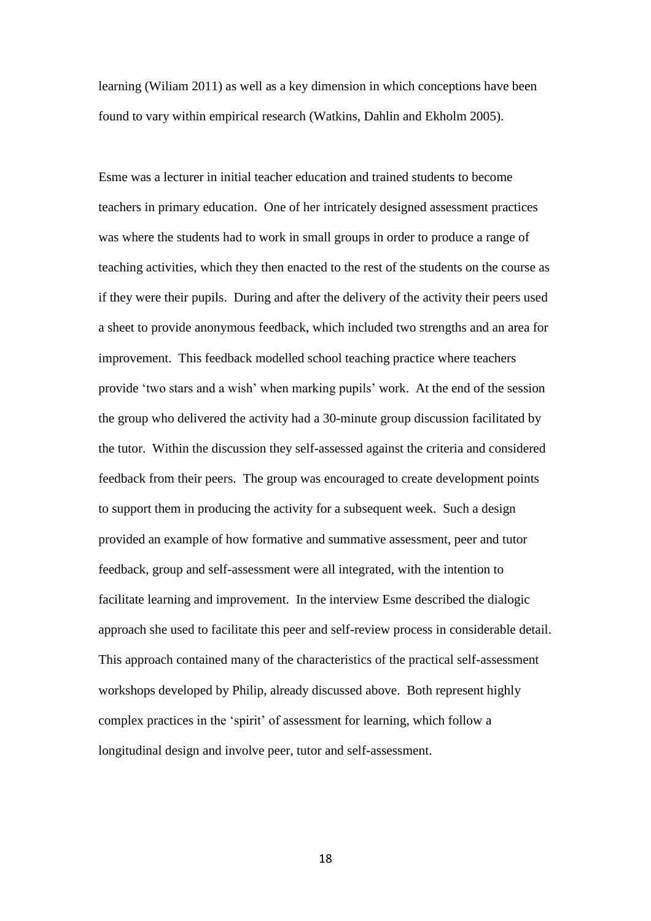learning (Wiliam 2011) as well as a key dimension in which conceptions have been found to vary within empirical research (Watkins, Dahlin and Ekholm 2005).

Esme was a lecturer in initial teacher education and trained students to become teachers in primary education. One of her intricately designed assessment practices was where the students had to work in small groups in order to produce a range of teaching activities, which they then enacted to the rest of the students on the course as if they were their pupils. During and after the delivery of the activity their peers used a sheet to provide anonymous feedback, which included two strengths and an area for improvement. This feedback modelled school teaching practice where teachers provide 'two stars and a wish' when marking pupils' work. At the end of the session the group who delivered the activity had a 30-minute group discussion facilitated by the tutor. Within the discussion they self-assessed against the criteria and considered feedback from their peers. The group was encouraged to create development points to support them in producing the activity for a subsequent week. Such a design provided an example of how formative and summative assessment, peer and tutor feedback, group and self-assessment were all integrated, with the intention to facilitate learning and improvement. In the interview Esme described the dialogic approach she used to facilitate this peer and self-review process in considerable detail. This approach contained many of the characteristics of the practical self-assessment workshops developed by Philip, already discussed above. Both represent highly complex practices in the 'spirit' of assessment for learning, which follow a longitudinal design and involve peer, tutor and self-assessment.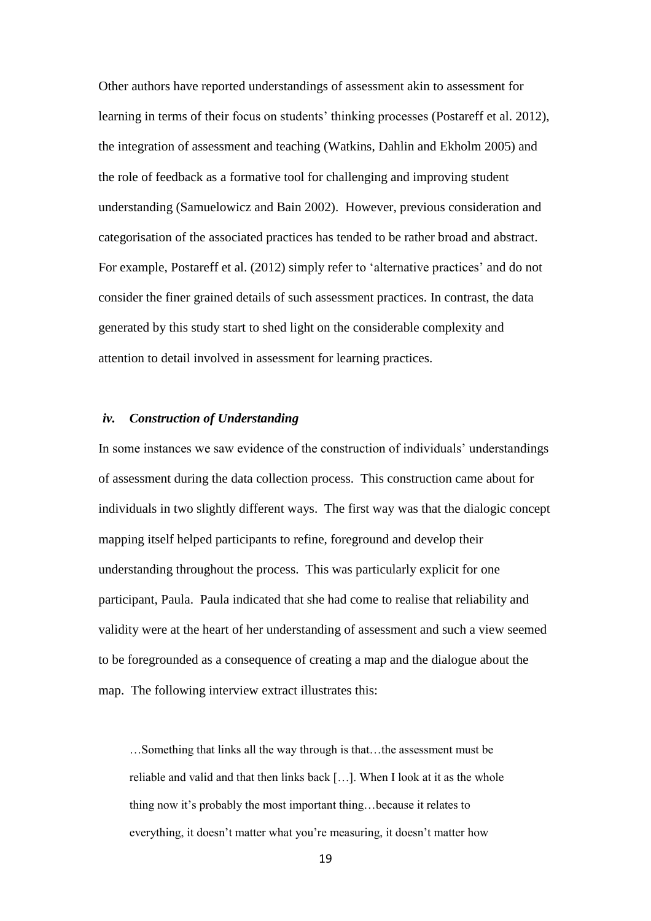Other authors have reported understandings of assessment akin to assessment for learning in terms of their focus on students' thinking processes (Postareff et al. 2012), the integration of assessment and teaching (Watkins, Dahlin and Ekholm 2005) and the role of feedback as a formative tool for challenging and improving student understanding (Samuelowicz and Bain 2002). However, previous consideration and categorisation of the associated practices has tended to be rather broad and abstract. For example, Postareff et al. (2012) simply refer to 'alternative practices' and do not consider the finer grained details of such assessment practices. In contrast, the data generated by this study start to shed light on the considerable complexity and attention to detail involved in assessment for learning practices.

# *iv. Construction of Understanding*

In some instances we saw evidence of the construction of individuals' understandings of assessment during the data collection process. This construction came about for individuals in two slightly different ways. The first way was that the dialogic concept mapping itself helped participants to refine, foreground and develop their understanding throughout the process. This was particularly explicit for one participant, Paula. Paula indicated that she had come to realise that reliability and validity were at the heart of her understanding of assessment and such a view seemed to be foregrounded as a consequence of creating a map and the dialogue about the map. The following interview extract illustrates this:

…Something that links all the way through is that…the assessment must be reliable and valid and that then links back […]. When I look at it as the whole thing now it's probably the most important thing…because it relates to everything, it doesn't matter what you're measuring, it doesn't matter how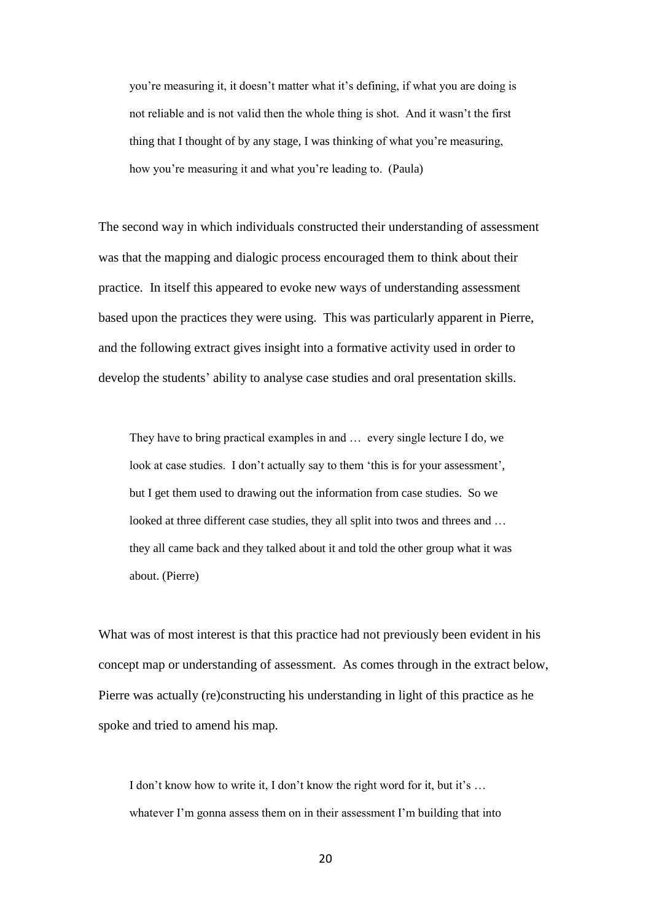you're measuring it, it doesn't matter what it's defining, if what you are doing is not reliable and is not valid then the whole thing is shot. And it wasn't the first thing that I thought of by any stage, I was thinking of what you're measuring, how you're measuring it and what you're leading to. (Paula)

The second way in which individuals constructed their understanding of assessment was that the mapping and dialogic process encouraged them to think about their practice. In itself this appeared to evoke new ways of understanding assessment based upon the practices they were using. This was particularly apparent in Pierre, and the following extract gives insight into a formative activity used in order to develop the students' ability to analyse case studies and oral presentation skills.

They have to bring practical examples in and … every single lecture I do, we look at case studies. I don't actually say to them 'this is for your assessment', but I get them used to drawing out the information from case studies. So we looked at three different case studies, they all split into twos and threes and ... they all came back and they talked about it and told the other group what it was about. (Pierre)

What was of most interest is that this practice had not previously been evident in his concept map or understanding of assessment. As comes through in the extract below, Pierre was actually (re)constructing his understanding in light of this practice as he spoke and tried to amend his map.

I don't know how to write it, I don't know the right word for it, but it's … whatever I'm gonna assess them on in their assessment I'm building that into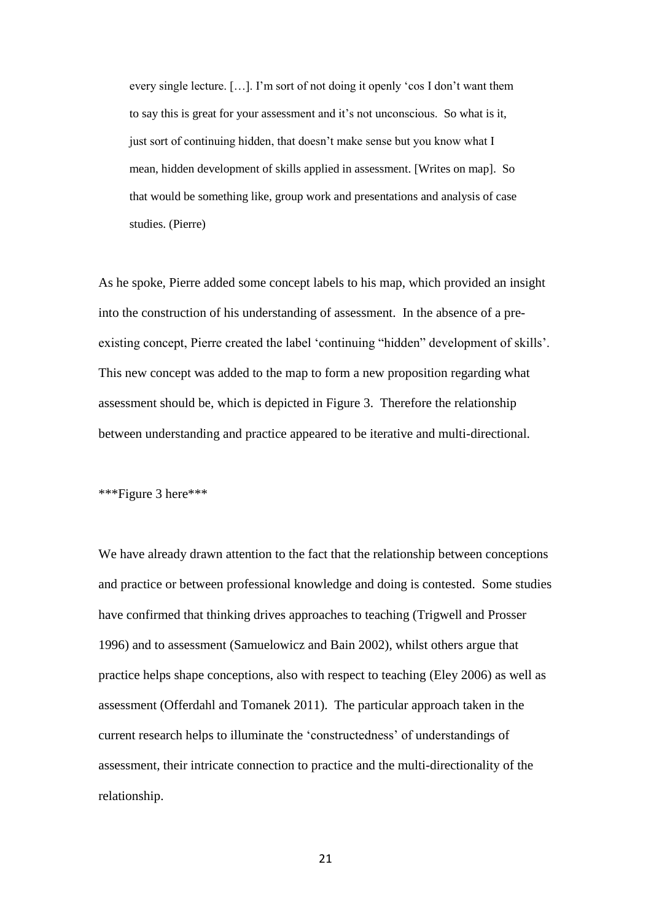every single lecture. […]. I'm sort of not doing it openly 'cos I don't want them to say this is great for your assessment and it's not unconscious. So what is it, just sort of continuing hidden, that doesn't make sense but you know what I mean, hidden development of skills applied in assessment. [Writes on map]. So that would be something like, group work and presentations and analysis of case studies. (Pierre)

As he spoke, Pierre added some concept labels to his map, which provided an insight into the construction of his understanding of assessment. In the absence of a preexisting concept, Pierre created the label 'continuing "hidden" development of skills'. This new concept was added to the map to form a new proposition regarding what assessment should be, which is depicted in Figure 3. Therefore the relationship between understanding and practice appeared to be iterative and multi-directional.

\*\*\*Figure 3 here\*\*\*

We have already drawn attention to the fact that the relationship between conceptions and practice or between professional knowledge and doing is contested. Some studies have confirmed that thinking drives approaches to teaching (Trigwell and Prosser 1996) and to assessment (Samuelowicz and Bain 2002), whilst others argue that practice helps shape conceptions, also with respect to teaching (Eley 2006) as well as assessment (Offerdahl and Tomanek 2011). The particular approach taken in the current research helps to illuminate the 'constructedness' of understandings of assessment, their intricate connection to practice and the multi-directionality of the relationship.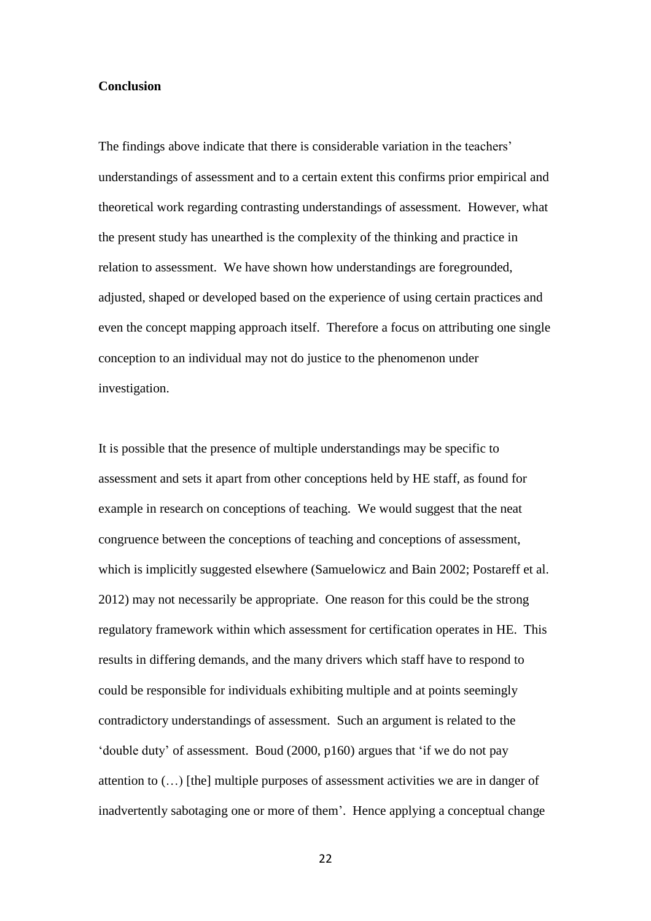## **Conclusion**

The findings above indicate that there is considerable variation in the teachers' understandings of assessment and to a certain extent this confirms prior empirical and theoretical work regarding contrasting understandings of assessment. However, what the present study has unearthed is the complexity of the thinking and practice in relation to assessment. We have shown how understandings are foregrounded, adjusted, shaped or developed based on the experience of using certain practices and even the concept mapping approach itself. Therefore a focus on attributing one single conception to an individual may not do justice to the phenomenon under investigation.

It is possible that the presence of multiple understandings may be specific to assessment and sets it apart from other conceptions held by HE staff, as found for example in research on conceptions of teaching. We would suggest that the neat congruence between the conceptions of teaching and conceptions of assessment, which is implicitly suggested elsewhere (Samuelowicz and Bain 2002; Postareff et al. 2012) may not necessarily be appropriate. One reason for this could be the strong regulatory framework within which assessment for certification operates in HE. This results in differing demands, and the many drivers which staff have to respond to could be responsible for individuals exhibiting multiple and at points seemingly contradictory understandings of assessment. Such an argument is related to the 'double duty' of assessment. Boud (2000, p160) argues that 'if we do not pay attention to (…) [the] multiple purposes of assessment activities we are in danger of inadvertently sabotaging one or more of them'. Hence applying a conceptual change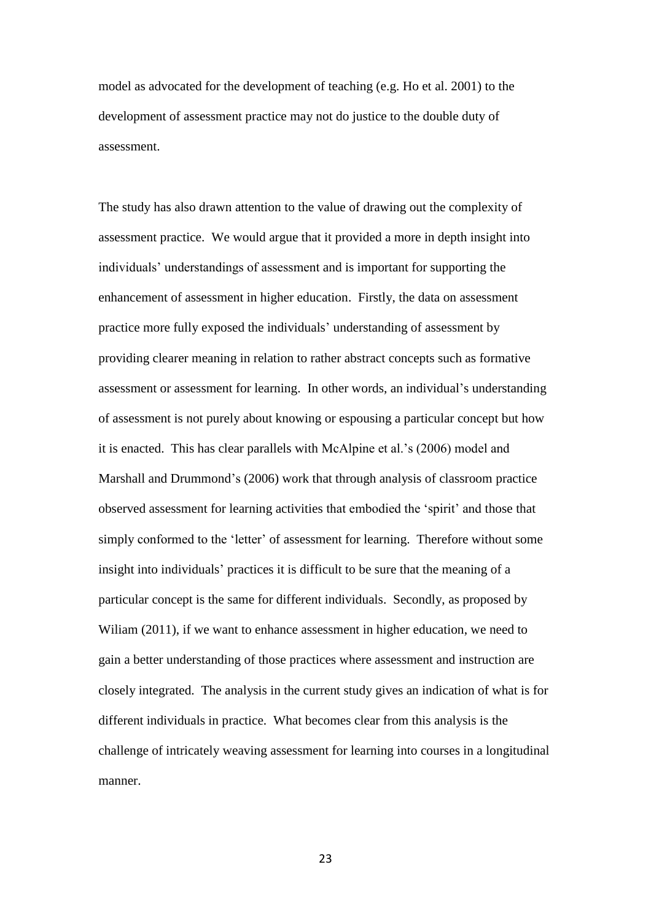model as advocated for the development of teaching (e.g. Ho et al. 2001) to the development of assessment practice may not do justice to the double duty of assessment.

The study has also drawn attention to the value of drawing out the complexity of assessment practice. We would argue that it provided a more in depth insight into individuals' understandings of assessment and is important for supporting the enhancement of assessment in higher education. Firstly, the data on assessment practice more fully exposed the individuals' understanding of assessment by providing clearer meaning in relation to rather abstract concepts such as formative assessment or assessment for learning. In other words, an individual's understanding of assessment is not purely about knowing or espousing a particular concept but how it is enacted. This has clear parallels with McAlpine et al.'s (2006) model and Marshall and Drummond's (2006) work that through analysis of classroom practice observed assessment for learning activities that embodied the 'spirit' and those that simply conformed to the 'letter' of assessment for learning. Therefore without some insight into individuals' practices it is difficult to be sure that the meaning of a particular concept is the same for different individuals. Secondly, as proposed by Wiliam (2011), if we want to enhance assessment in higher education, we need to gain a better understanding of those practices where assessment and instruction are closely integrated. The analysis in the current study gives an indication of what is for different individuals in practice. What becomes clear from this analysis is the challenge of intricately weaving assessment for learning into courses in a longitudinal manner.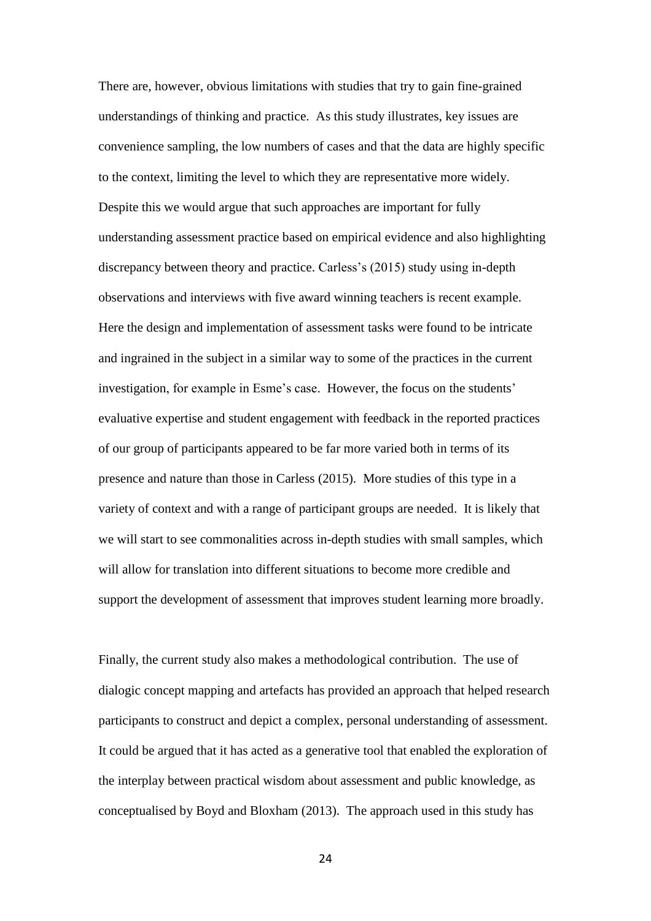There are, however, obvious limitations with studies that try to gain fine-grained understandings of thinking and practice. As this study illustrates, key issues are convenience sampling, the low numbers of cases and that the data are highly specific to the context, limiting the level to which they are representative more widely. Despite this we would argue that such approaches are important for fully understanding assessment practice based on empirical evidence and also highlighting discrepancy between theory and practice. Carless's (2015) study using in-depth observations and interviews with five award winning teachers is recent example. Here the design and implementation of assessment tasks were found to be intricate and ingrained in the subject in a similar way to some of the practices in the current investigation, for example in Esme's case. However, the focus on the students' evaluative expertise and student engagement with feedback in the reported practices of our group of participants appeared to be far more varied both in terms of its presence and nature than those in Carless (2015). More studies of this type in a variety of context and with a range of participant groups are needed. It is likely that we will start to see commonalities across in-depth studies with small samples, which will allow for translation into different situations to become more credible and support the development of assessment that improves student learning more broadly.

Finally, the current study also makes a methodological contribution. The use of dialogic concept mapping and artefacts has provided an approach that helped research participants to construct and depict a complex, personal understanding of assessment. It could be argued that it has acted as a generative tool that enabled the exploration of the interplay between practical wisdom about assessment and public knowledge, as conceptualised by Boyd and Bloxham (2013). The approach used in this study has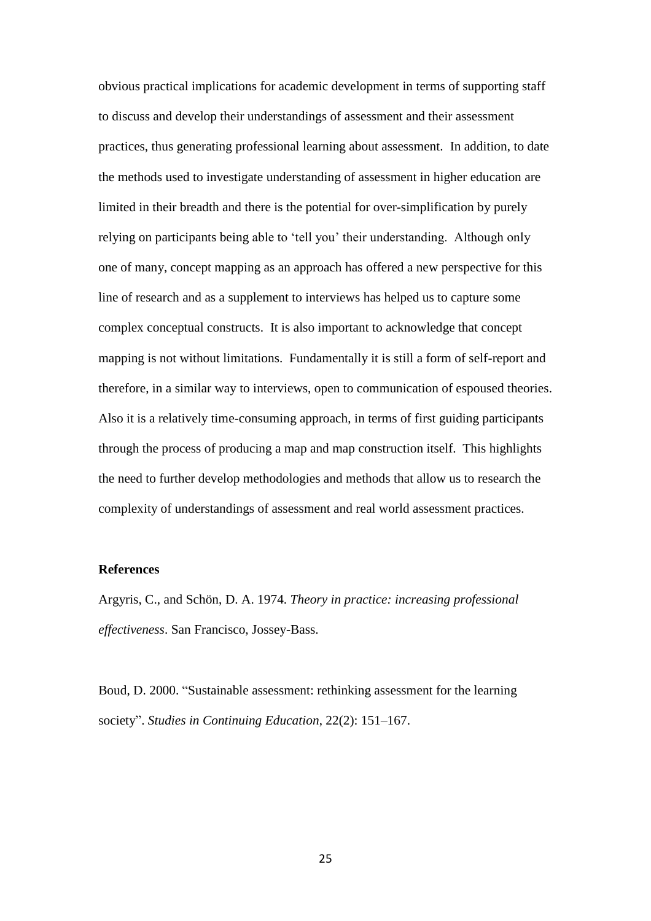obvious practical implications for academic development in terms of supporting staff to discuss and develop their understandings of assessment and their assessment practices, thus generating professional learning about assessment. In addition, to date the methods used to investigate understanding of assessment in higher education are limited in their breadth and there is the potential for over-simplification by purely relying on participants being able to 'tell you' their understanding. Although only one of many, concept mapping as an approach has offered a new perspective for this line of research and as a supplement to interviews has helped us to capture some complex conceptual constructs. It is also important to acknowledge that concept mapping is not without limitations. Fundamentally it is still a form of self-report and therefore, in a similar way to interviews, open to communication of espoused theories. Also it is a relatively time-consuming approach, in terms of first guiding participants through the process of producing a map and map construction itself. This highlights the need to further develop methodologies and methods that allow us to research the complexity of understandings of assessment and real world assessment practices.

# **References**

Argyris, C., and Schön, D. A. 1974. *Theory in practice: increasing professional effectiveness*. San Francisco, Jossey-Bass.

Boud, D. 2000. "Sustainable assessment: rethinking assessment for the learning society". *Studies in Continuing Education*, 22(2): 151–167.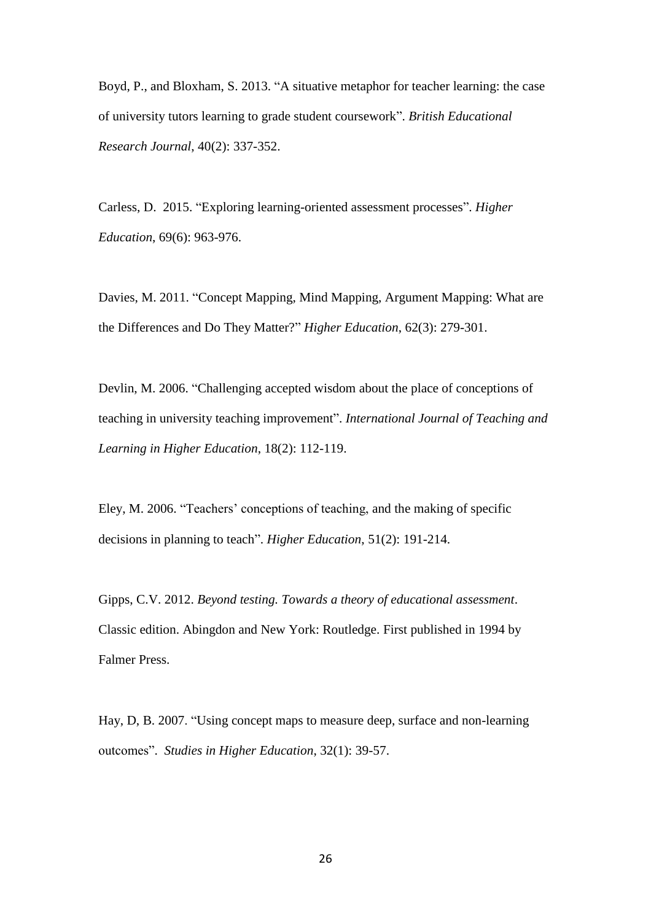Boyd, P., and Bloxham, S. 2013. "A situative metaphor for teacher learning: the case of university tutors learning to grade student coursework". *British Educational Research Journal*, 40(2): 337-352.

Carless, D. 2015. "Exploring learning-oriented assessment processes". *Higher Education*, 69(6): 963-976.

Davies, M. 2011. "Concept Mapping, Mind Mapping, Argument Mapping: What are the Differences and Do They Matter?" *Higher Education*, 62(3): 279-301.

Devlin, M. 2006. "Challenging accepted wisdom about the place of conceptions of teaching in university teaching improvement". *International Journal of Teaching and Learning in Higher Education*, 18(2): 112-119.

Eley, M. 2006. "Teachers' conceptions of teaching, and the making of specific decisions in planning to teach". *Higher Education*, 51(2): 191-214.

Gipps, C.V. 2012. *Beyond testing. Towards a theory of educational assessment*. Classic edition. Abingdon and New York: Routledge. First published in 1994 by Falmer Press.

Hay, D, B. 2007. "Using concept maps to measure deep, surface and non-learning outcomes". *Studies in Higher Education*, 32(1): 39-57.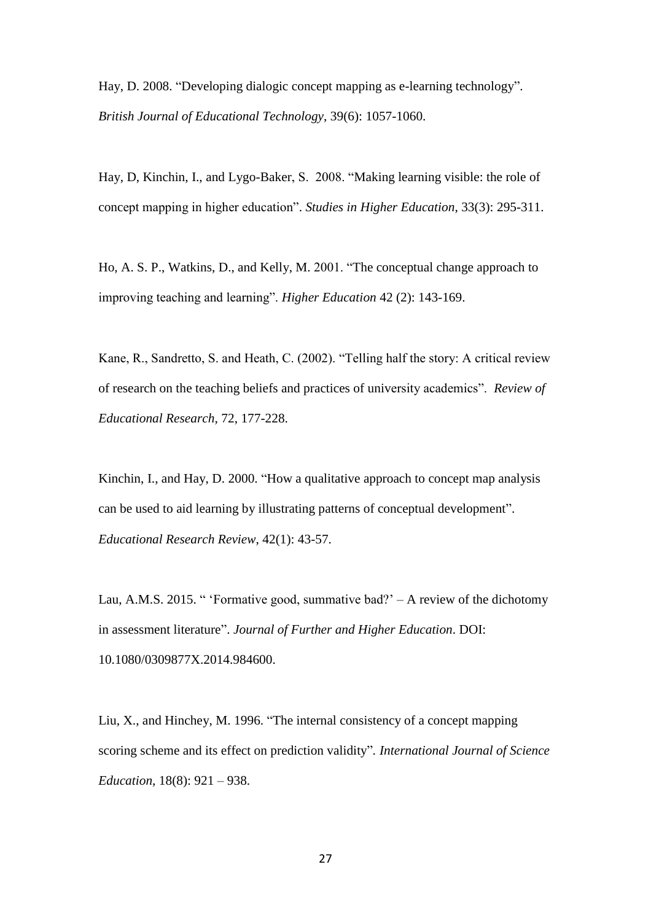Hay, D. 2008. "Developing dialogic concept mapping as e-learning technology". *British Journal of Educational Technology*, 39(6): 1057-1060.

Hay, D, Kinchin, I., and Lygo-Baker, S. 2008. "Making learning visible: the role of concept mapping in higher education". *Studies in Higher Education*, 33(3): 295-311.

Ho, A. S. P., Watkins, D., and Kelly, M. 2001. "The conceptual change approach to improving teaching and learning". *Higher Education* 42 (2): 143-169.

Kane, R., Sandretto, S. and Heath, C. (2002). "Telling half the story: A critical review of research on the teaching beliefs and practices of university academics". *Review of Educational Research*, 72, 177-228.

Kinchin, I., and Hay, D. 2000. "How a qualitative approach to concept map analysis can be used to aid learning by illustrating patterns of conceptual development". *Educational Research Review*, 42(1): 43-57.

Lau, A.M.S. 2015. " 'Formative good, summative bad?' – A review of the dichotomy in assessment literature". *Journal of Further and Higher Education*. DOI: 10.1080/0309877X.2014.984600.

Liu, X., and Hinchey, M. 1996. "The internal consistency of a concept mapping scoring scheme and its effect on prediction validity"*. International Journal of Science Education*, 18(8): 921 – 938.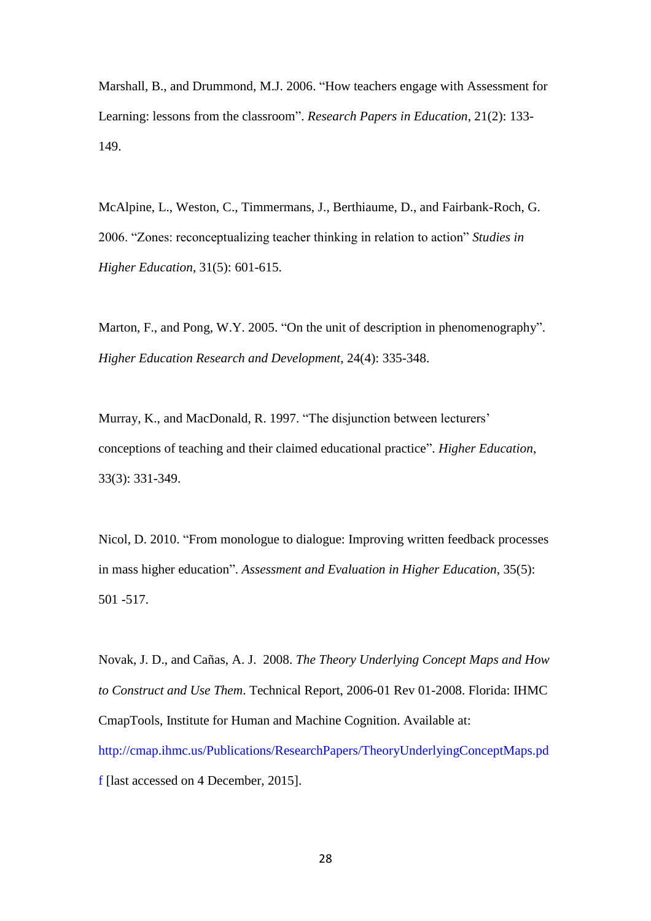Marshall, B., and Drummond, M.J. 2006. "How teachers engage with Assessment for Learning: lessons from the classroom". *Research Papers in Education*, 21(2): 133- 149.

McAlpine, L., Weston, C., Timmermans, J., Berthiaume, D., and Fairbank-Roch, G. 2006. "Zones: reconceptualizing teacher thinking in relation to action" *Studies in Higher Education*, 31(5): 601-615.

Marton, F., and Pong, W.Y. 2005. "On the unit of description in phenomenography". *Higher Education Research and Development*, 24(4): 335-348.

Murray, K., and MacDonald, R. 1997. "The disjunction between lecturers' conceptions of teaching and their claimed educational practice". *Higher Education*, 33(3): 331-349.

Nicol, D. 2010. "From monologue to dialogue: Improving written feedback processes in mass higher education". *Assessment and Evaluation in Higher Education*, 35(5): 501 -517.

Novak, J. D., and Cañas, A. J. 2008. *The Theory Underlying Concept Maps and How to Construct and Use Them*. Technical Report, 2006-01 Rev 01-2008. Florida: IHMC CmapTools, Institute for Human and Machine Cognition. Available at: http://cmap.ihmc.us/Publications/ResearchPapers/TheoryUnderlyingConceptMaps.pd f [last accessed on 4 December, 2015].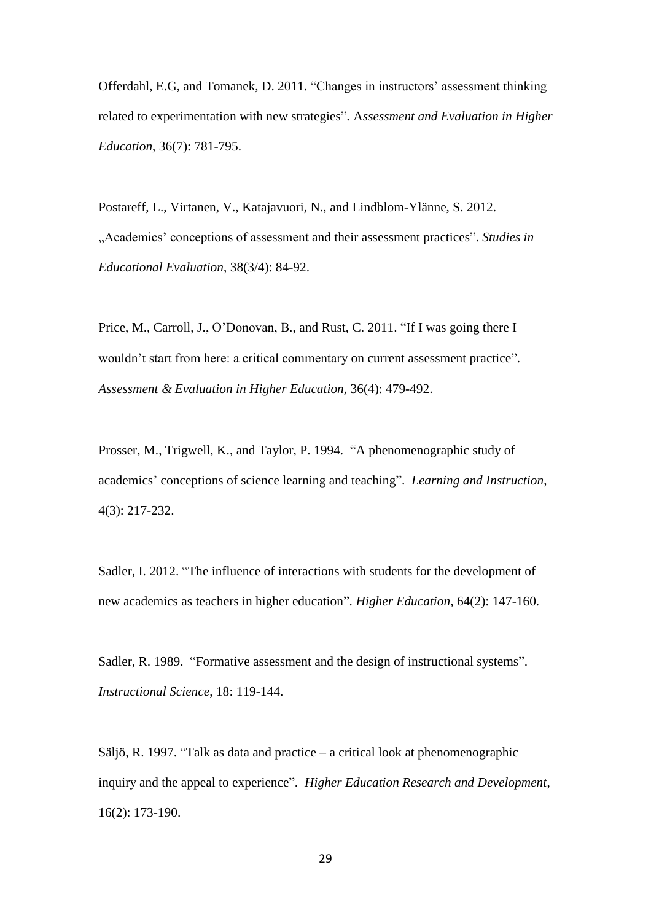Offerdahl, E.G, and Tomanek, D. 2011. "Changes in instructors' assessment thinking related to experimentation with new strategies". A*ssessment and Evaluation in Higher Education*, 36(7): 781-795.

Postareff, L., Virtanen, V., Katajavuori, N., and Lindblom-Ylänne, S. 2012. "Academics' conceptions of assessment and their assessment practices". *Studies in Educational Evaluation*, 38(3/4): 84-92.

Price, M., Carroll, J., O'Donovan, B., and Rust, C. 2011. "If I was going there I wouldn't start from here: a critical commentary on current assessment practice". *[Assessment & Evaluation in Higher Education,](http://dx.doi.org/10.1080/02602930903512883)* 36(4): 479-492.

Prosser, M., Trigwell, K., and Taylor, P. 1994. "A phenomenographic study of academics' conceptions of science learning and teaching". *Learning and Instruction*, 4(3): 217-232.

Sadler, I. 2012. "The influence of interactions with students for the development of new academics as teachers in higher education". *Higher Education*, 64(2): 147-160.

Sadler, R. 1989. "Formative assessment and the design of instructional systems". *Instructional Science*, 18: 119-144.

Säljö, R. 1997. "Talk as data and practice – a critical look at phenomenographic inquiry and the appeal to experience". *Higher Education Research and Development*, 16(2): 173-190.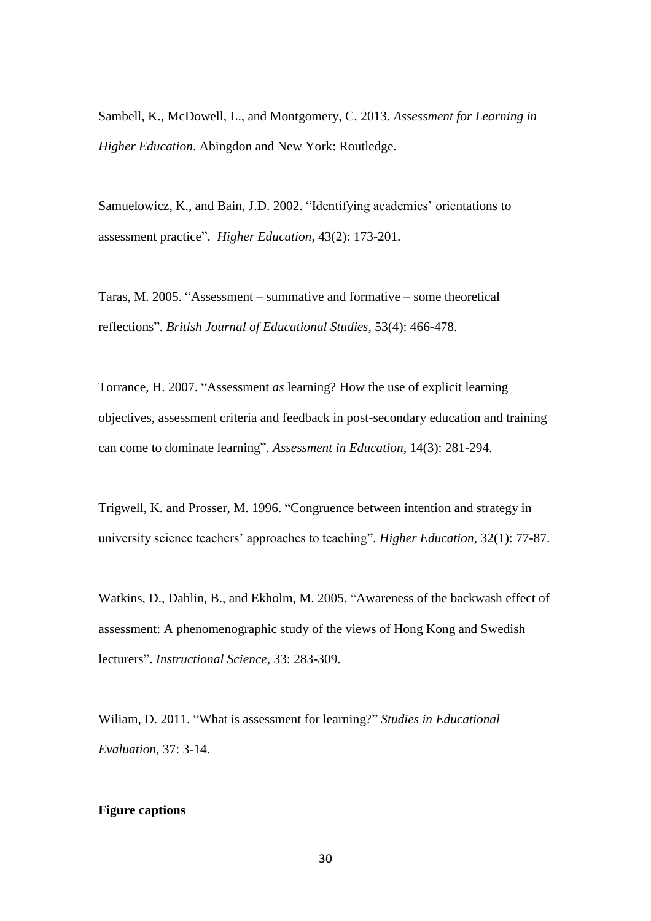Sambell, K., McDowell, L., and Montgomery, C. 2013. *Assessment for Learning in Higher Education*. Abingdon and New York: Routledge.

Samuelowicz, K., and Bain, J.D. 2002. "Identifying academics' orientations to assessment practice". *Higher Education*, 43(2): 173-201.

Taras, M. 2005. "Assessment – summative and formative – some theoretical reflections". *British Journal of Educational Studies*, 53(4): 466-478.

Torrance, H. 2007. "Assessment *as* learning? How the use of explicit learning objectives, assessment criteria and feedback in post-secondary education and training can come to dominate learning". *Assessment in Education*, 14(3): 281-294.

Trigwell, K. and Prosser, M. 1996. "Congruence between intention and strategy in university science teachers' approaches to teaching". *Higher Education*, 32(1): 77-87.

Watkins, D., Dahlin, B., and Ekholm, M. 2005. "Awareness of the backwash effect of assessment: A phenomenographic study of the views of Hong Kong and Swedish lecturers". *Instructional Science*, 33: 283-309.

Wiliam, D. 2011. "What is assessment for learning?" *Studies in Educational Evaluation*, 37: 3-14.

## **Figure captions**